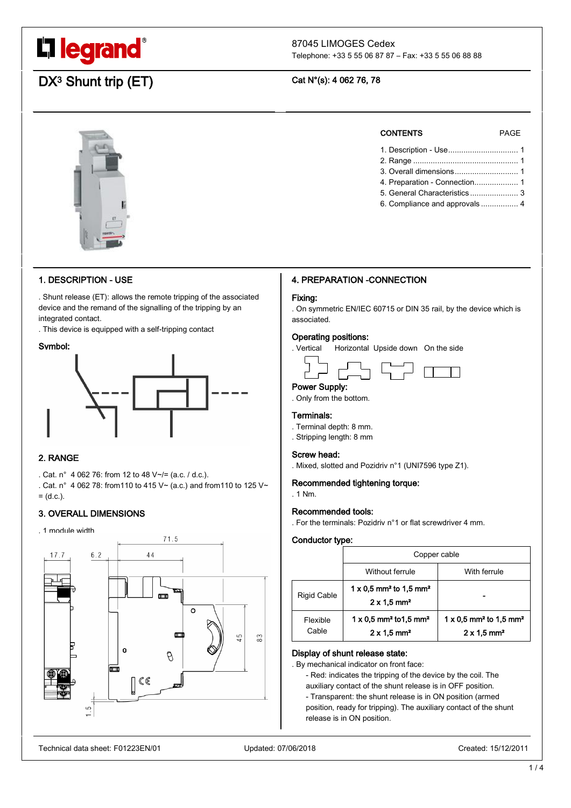# L'I legrand<sup>®</sup>

### 87045 LIMOGES Cedex

Telephone: +33 5 55 06 87 87 – Fax: +33 5 55 06 88 88

## $DX^3$  Shunt trip  $(ET)$  Cat N°(s): 4 062 76, 78



#### 1. DESCRIPTION - USE

. Shunt release (ET): allows the remote tripping of the associated device and the remand of the signalling of the tripping by an integrated contact.

. This device is equipped with a self-tripping contact

#### Symbol:



### 2. RANGE

. Cat. n° 4 062 76: from 12 to 48 V~/= (a.c. / d.c.).

. Cat. n° 4 062 78: from110 to 415 V~ (a.c.) and from110 to 125 V~  $= (d.c.).$ 

#### 3. OVERALL DIMENSIONS

. 1 module width



#### CONTENTS PAGE

| 1. Description - Use 1        |
|-------------------------------|
|                               |
|                               |
| 4. Preparation - Connection 1 |
| 5. General Characteristics 3  |
| 6. Compliance and approvals 4 |
|                               |

#### 4. PREPARATION -CONNECTION

#### Fixing:

. On symmetric EN/IEC 60715 or DIN 35 rail, by the device which is associated.

#### Operating positions:

. Vertical Horizontal Upside down On the side

#### Power Supply:

. Only from the bottom.

#### Terminals:

- . Terminal depth: 8 mm.
- . Stripping length: 8 mm

#### Screw head:

. Mixed, slotted and Pozidriv n°1 (UNI7596 type Z1).

#### Recommended tightening torque:

. 1 Nm.

#### Recommended tools:

. For the terminals: Pozidriv n°1 or flat screwdriver 4 mm.

#### Conductor type:

|                    | Copper cable                                                                            |                                                                                           |
|--------------------|-----------------------------------------------------------------------------------------|-------------------------------------------------------------------------------------------|
|                    | Without ferrule                                                                         | With ferrule                                                                              |
| <b>Rigid Cable</b> | $1 \times 0.5$ mm <sup>2</sup> to 1.5 mm <sup>2</sup><br>$2 \times 1.5$ mm <sup>2</sup> |                                                                                           |
| Flexible<br>Cable  | $1 \times 0.5$ mm <sup>2</sup> to 1.5 mm <sup>2</sup><br>$2 \times 1.5$ mm <sup>2</sup> | $1 \times 0.5$ mm <sup>2</sup> to $1.5$ mm <sup>2</sup><br>$2 \times 1.5$ mm <sup>2</sup> |

#### Display of shunt release state:

. By mechanical indicator on front face:

- Red: indicates the tripping of the device by the coil. The auxiliary contact of the shunt release is in OFF position.

- Transparent: the shunt release is in ON position (armed

position, ready for tripping). The auxiliary contact of the shunt release is in ON position.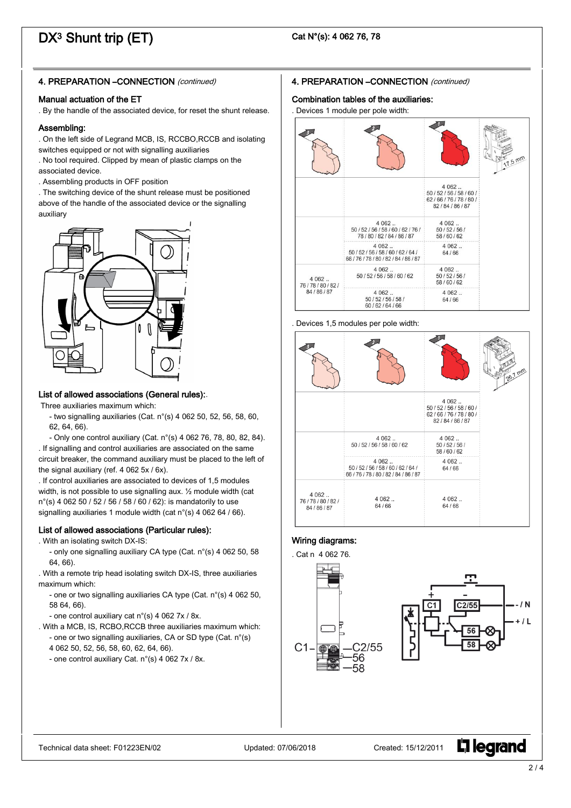## $DX^3$  Shunt trip  $(ET)$  Cat N°(s): 4 062 76, 78

### 4. PREPARATION -CONNECTION (continued)

#### Manual actuation of the ET

. By the handle of the associated device, for reset the shunt release.

#### Assembling:

. On the left side of Legrand MCB, IS, RCCBO,RCCB and isolating switches equipped or not with signalling auxiliaries

- . No tool required. Clipped by mean of plastic clamps on the associated device.
- . Assembling products in OFF position

. The switching device of the shunt release must be positioned above of the handle of the associated device or the signalling auxiliary



#### List of allowed associations (General rules):.

Three auxiliaries maximum which:

- two signalling auxiliaries (Cat. n°(s) 4 062 50, 52, 56, 58, 60, 62, 64, 66).

- Only one control auxiliary (Cat. n°(s) 4 062 76, 78, 80, 82, 84). . If signalling and control auxiliaries are associated on the same circuit breaker, the command auxiliary must be placed to the left of the signal auxiliary (ref. 4 062 5x / 6x).

. If control auxiliaries are associated to devices of 1,5 modules width, is not possible to use signalling aux. ½ module width (cat n°(s) 4 062 50 / 52 / 56 / 58 / 60 / 62): is mandatorily to use signalling auxiliaries 1 module width (cat n°(s) 4 062 64 / 66).

#### List of allowed associations (Particular rules):

. With an isolating switch DX-IS:

- only one signalling auxiliary CA type (Cat. n°(s) 4 062 50, 58 64, 66).

. With a remote trip head isolating switch DX-IS, three auxiliaries maximum which:

- one or two signalling auxiliaries CA type (Cat. n°(s) 4 062 50, 58 64, 66).

- one control auxiliary cat n°(s) 4 062 7x / 8x.

. With a MCB, IS, RCBO,RCCB three auxiliaries maximum which: - one or two signalling auxiliaries, CA or SD type (Cat. n°(s)

- 4 062 50, 52, 56, 58, 60, 62, 64, 66).
- one control auxiliary Cat. n°(s) 4 062 7x / 8x.

#### 4. PREPARATION -CONNECTION (continued)

#### Combination tables of the auxiliaries:

. Devices 1 module per pole width:



#### . Devices 1,5 modules per pole width:

![](_page_1_Figure_30.jpeg)

#### Wiring diagrams:

![](_page_1_Figure_32.jpeg)

L<sub>i</sub>legrand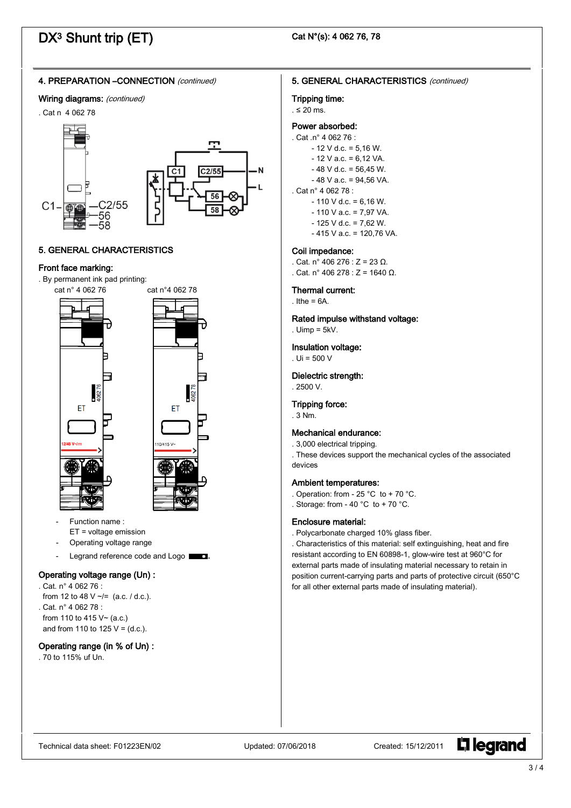## $DX^3$  Shunt trip  $(ET)$  Cat N°(s): 4 062 76, 78

#### 4. PREPARATION –CONNECTION (continued)

#### Wiring diagrams: (continued)

#### . Cat n 4 062 78

![](_page_2_Figure_5.jpeg)

### 5. GENERAL CHARACTERISTICS

#### Front face marking:

. By permanent ink pad printing:

![](_page_2_Figure_9.jpeg)

- Function name : ET = voltage emission
- Operating voltage range
- Legrand reference code and Logo  $\Box$

#### Operating voltage range (Un) :

- . Cat. n° 4 062 76 :
- from 12 to 48 V  $\sim$ /= (a.c. / d.c.). . Cat. n° 4 062 78 : from 110 to 415 V~ (a.c.)
- and from 110 to 125  $V = (d.c.).$

#### Operating range (in % of Un) :

. 70 to 115% uf Un.

#### 5. GENERAL CHARACTERISTICS (continued)

### Tripping time:

#### . ≤ 20 ms.

#### Power absorbed:

- . Cat .n° 4 062 76 :
	- $-12$  V d.c. = 5,16 W.
	- $-12$  V a.c. = 6,12 VA.
	- $-48$  V d.c. = 56,45 W.  $-48$  V a.c. = 94.56 VA.

### . Cat n° 4 062 78 :

- $-110$  V d.c. = 6,16 W.
	- $-110$  V a.c. = 7,97 VA.
	- $-125$  V d.c. = 7,62 W.
	- 415 V a.c. = 120,76 VA.

#### Coil impedance:

 $Cat \nvert n^{\circ} 406 276 \cdot 7 = 23 \nvert n$  $Cat \n n° 406 278 \n  $7 = 16400$$ 

#### Thermal current:

. Ithe  $= 6A$ .

#### Rated impulse withstand voltage:

. Uimp = 5kV.

#### Insulation voltage:

. Ui = 500 V

### Dielectric strength:

. 2500 V.

Tripping force: . 3 Nm.

#### Mechanical endurance:

. 3,000 electrical tripping.

. These devices support the mechanical cycles of the associated devices

#### Ambient temperatures:

- . Operation: from 25 °C to + 70 °C.
- . Storage: from 40  $^{\circ}$ C to + 70  $^{\circ}$ C.

#### Enclosure material:

. Polycarbonate charged 10% glass fiber.

. Characteristics of this material: self extinguishing, heat and fire resistant according to EN 60898-1, glow-wire test at 960°C for external parts made of insulating material necessary to retain in position current-carrying parts and parts of protective circuit (650°C for all other external parts made of insulating material).

**L'1 legrand**